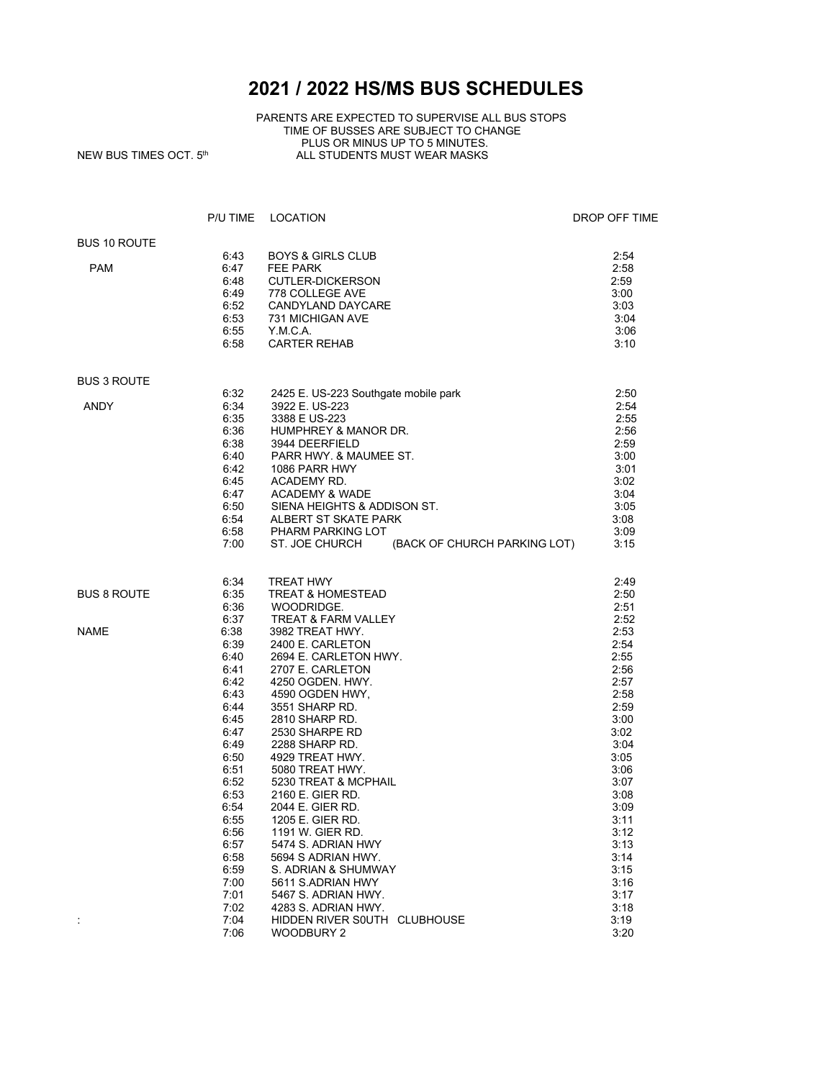## **2021 / 2022 HS/MS BUS SCHEDULES**

## PARENTS ARE EXPECTED TO SUPERVISE ALL BUS STOPS TIME OF BUSSES ARE SUBJECT TO CHANGE PLUS OR MINUS UP TO 5 MINUTES.  $NEW$  BUS TIMES OCT.  $5<sup>th</sup>$  ALL STUDENTS MUST WEAR MASKS

|                     | P/U TIME     | LOCATION                                       | DROP OFF TIME |
|---------------------|--------------|------------------------------------------------|---------------|
| <b>BUS 10 ROUTE</b> |              |                                                |               |
|                     | 6:43         | <b>BOYS &amp; GIRLS CLUB</b>                   | 2:54          |
| <b>PAM</b>          | 6:47         | FEE PARK                                       | 2:58          |
|                     | 6:48         | <b>CUTLER-DICKERSON</b>                        | 2:59          |
|                     | 6:49         | 778 COLLEGE AVE                                | 3:00          |
|                     | 6:52         | CANDYLAND DAYCARE                              | 3:03          |
|                     | 6:53         | 731 MICHIGAN AVE                               | 3:04          |
|                     | 6:55         | Y.M.C.A.                                       | 3:06          |
|                     | 6:58         | <b>CARTER REHAB</b>                            | 3:10          |
| <b>BUS 3 ROUTE</b>  |              |                                                |               |
|                     | 6:32         | 2425 E. US-223 Southgate mobile park           | 2:50          |
| <b>ANDY</b>         | 6:34         | 3922 E. US-223                                 | 2:54          |
|                     | 6:35         | 3388 E US-223                                  | 2:55          |
|                     | 6:36         | HUMPHREY & MANOR DR.                           | 2:56          |
|                     | 6:38         | 3944 DEERFIELD                                 | 2:59          |
|                     | 6:40         | PARR HWY. & MAUMEE ST.                         | 3:00          |
|                     | 6:42         | 1086 PARR HWY                                  | 3:01          |
|                     | 6:45         | ACADEMY RD.                                    | 3:02          |
|                     | 6:47         | <b>ACADEMY &amp; WADE</b>                      | 3:04          |
|                     | 6:50         | SIENA HEIGHTS & ADDISON ST.                    | 3:05          |
|                     | 6:54         | ALBERT ST SKATE PARK                           | 3:08          |
|                     | 6:58         | PHARM PARKING LOT                              | 3:09          |
|                     | 7:00         | ST. JOE CHURCH<br>(BACK OF CHURCH PARKING LOT) | 3:15          |
|                     | 6:34         | <b>TREAT HWY</b>                               | 2:49          |
| <b>BUS 8 ROUTE</b>  | 6:35         | <b>TREAT &amp; HOMESTEAD</b>                   | 2:50          |
|                     | 6:36         | WOODRIDGE.                                     | 2:51          |
|                     | 6:37         | <b>TREAT &amp; FARM VALLEY</b>                 | 2:52          |
| <b>NAME</b>         | 6:38         | 3982 TREAT HWY.                                | 2:53          |
|                     | 6:39         | 2400 E. CARLETON                               | 2:54          |
|                     | 6:40         | 2694 E. CARLETON HWY.                          | 2:55          |
|                     | 6:41         | 2707 E. CARLETON                               | 2:56          |
|                     | 6:42         | 4250 OGDEN. HWY.                               | 2:57          |
|                     | 6:43         | 4590 OGDEN HWY,                                | 2:58          |
|                     | 6:44         | 3551 SHARP RD.                                 | 2:59          |
|                     | 6:45         | 2810 SHARP RD.                                 | 3:00          |
|                     | 6:47         | 2530 SHARPE RD                                 | 3:02          |
|                     | 6:49         | 2288 SHARP RD.                                 | 3:04          |
|                     | 6:50         | 4929 TREAT HWY.                                | 3:05          |
|                     | 6:51         | 5080 TREAT HWY.                                | 3:06          |
|                     | 6:52         | 5230 TREAT & MCPHAIL                           | 3:07          |
|                     | 6:53         | 2160 E. GIER RD.                               | 3:08          |
|                     | 6:54         | 2044 E. GIER RD.                               | 3:09          |
|                     | 6:55         | 1205 E. GIER RD.                               | 3:11          |
|                     | 6:56<br>6:57 | 1191 W. GIER RD.                               | 3:12          |
|                     |              | 5474 S. ADRIAN HWY<br>5694 S ADRIAN HWY.       | 3:13          |
|                     | 6:58<br>6:59 | S. ADRIAN & SHUMWAY                            | 3:14<br>3:15  |
|                     | 7:00         | 5611 S.ADRIAN HWY                              | 3:16          |
|                     | 7:01         | 5467 S. ADRIAN HWY.                            | 3:17          |
|                     | 7:02         | 4283 S. ADRIAN HWY.                            | 3:18          |
|                     | 7:04         | HIDDEN RIVER SOUTH CLUBHOUSE                   | 3:19          |
|                     | 7:06         | <b>WOODBURY 2</b>                              | 3:20          |
|                     |              |                                                |               |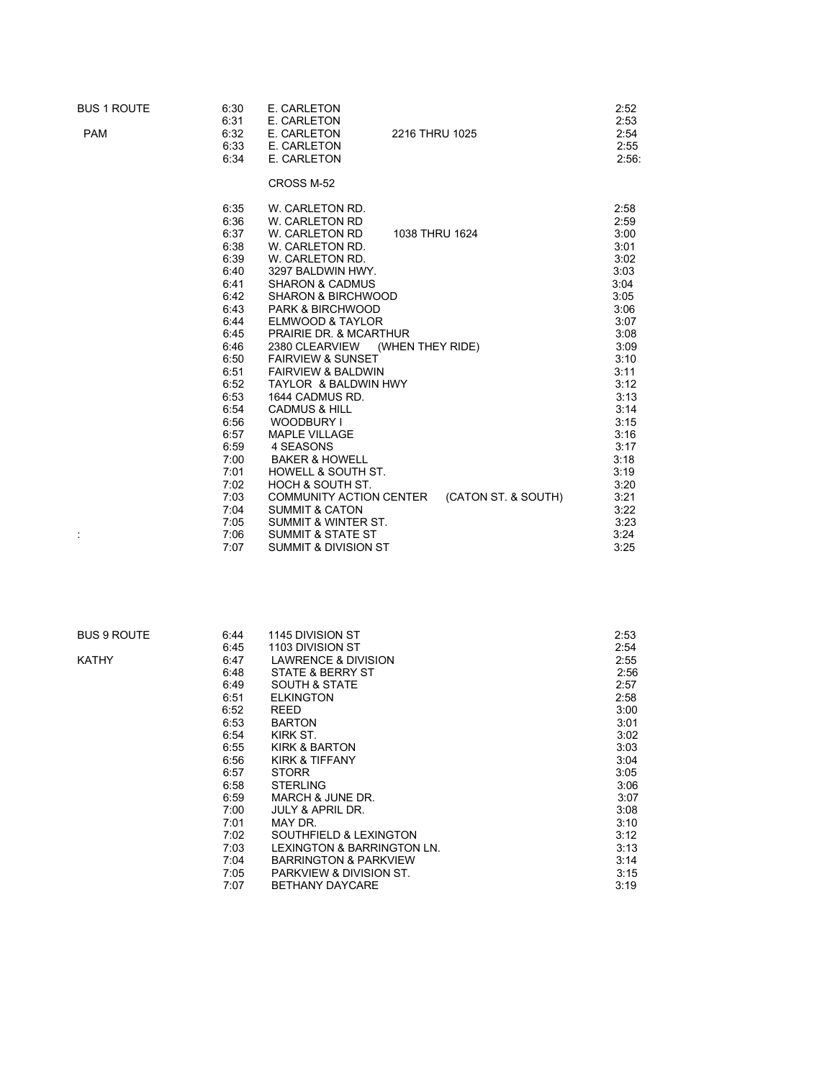| <b>BUS 1 ROUTE</b> | 6:30<br>6:31 | E. CARLETON<br>E. CARLETON                                  | 2:52<br>2:53 |
|--------------------|--------------|-------------------------------------------------------------|--------------|
| <b>PAM</b>         | 6:32         | E. CARLETON<br>2216 THRU 1025                               | 2:54         |
|                    | 6:33         | E. CARLETON                                                 | 2:55         |
|                    | 6:34         | E. CARLETON                                                 | 2:56:        |
|                    |              |                                                             |              |
|                    |              | CROSS M-52                                                  |              |
|                    | 6:35         | W. CARLETON RD.                                             | 2:58         |
|                    | 6:36         | W. CARLETON RD                                              | 2:59         |
|                    | 6:37         | W. CARLETON RD<br>1038 THRU 1624                            | 3:00         |
|                    | 6:38         | W. CARLETON RD.                                             | 3:01         |
|                    | 6:39         | W. CARLETON RD.                                             | 3:02         |
|                    | 6:40<br>6:41 | 3297 BALDWIN HWY.                                           | 3:03<br>3:04 |
|                    | 6:42         | <b>SHARON &amp; CADMUS</b><br><b>SHARON &amp; BIRCHWOOD</b> | 3:05         |
|                    | 6:43         | <b>PARK &amp; BIRCHWOOD</b>                                 | 3:06         |
|                    | 6:44         | ELMWOOD & TAYLOR                                            | 3:07         |
|                    | 6:45         | <b>PRAIRIE DR. &amp; MCARTHUR</b>                           | 3:08         |
|                    | 6:46         | 2380 CLEARVIEW<br>(WHEN THEY RIDE)                          | 3:09         |
|                    | 6:50         | <b>FAIRVIEW &amp; SUNSET</b>                                | 3:10         |
|                    | 6:51         | <b>FAIRVIEW &amp; BALDWIN</b>                               | 3:11         |
|                    | 6:52         | TAYLOR & BALDWIN HWY                                        | 3:12         |
|                    | 6:53         | 1644 CADMUS RD.                                             | 3:13         |
|                    | 6:54         | <b>CADMUS &amp; HILL</b>                                    | 3:14         |
|                    | 6:56         | WOODBURY I                                                  | 3:15         |
|                    | 6:57         | <b>MAPLE VILLAGE</b>                                        | 3:16         |
|                    | 6:59         | 4 SEASONS                                                   | 3:17         |
|                    | 7:00         | <b>BAKER &amp; HOWELL</b>                                   | 3:18         |
|                    | 7:01         | <b>HOWELL &amp; SOUTH ST.</b>                               | 3:19         |
|                    | 7:02         | HOCH & SOUTH ST.                                            | 3:20         |
|                    | 7:03         | (CATON ST. & SOUTH)<br><b>COMMUNITY ACTION CENTER</b>       | 3:21         |
|                    | 7:04         | <b>SUMMIT &amp; CATON</b>                                   | 3:22         |
|                    | 7:05         | <b>SUMMIT &amp; WINTER ST.</b>                              | 3:23         |
|                    | 7:06         | <b>SUMMIT &amp; STATE ST</b>                                | 3:24         |
|                    | 7:07         | <b>SUMMIT &amp; DIVISION ST</b>                             | 3:25         |

| BUS 9 ROUTE | 6:44 | 1145 DIVISION ST                   | 2:53 |  |
|-------------|------|------------------------------------|------|--|
|             | 6:45 | 1103 DIVISION ST                   | 2:54 |  |
| KATHY       | 6:47 | <b>LAWRENCE &amp; DIVISION</b>     | 2:55 |  |
|             | 6:48 | STATE & BERRY ST                   | 2:56 |  |
|             | 6:49 | <b>SOUTH &amp; STATE</b>           | 2:57 |  |
|             | 6:51 | <b>ELKINGTON</b>                   | 2:58 |  |
|             | 6:52 | <b>REED</b>                        | 3:00 |  |
|             | 6:53 | <b>BARTON</b>                      | 3:01 |  |
|             | 6:54 | KIRK ST.                           | 3:02 |  |
|             | 6:55 | KIRK & BARTON                      | 3:03 |  |
|             | 6:56 | KIRK & TIFFANY                     | 3:04 |  |
|             | 6:57 | <b>STORR</b>                       | 3:05 |  |
|             | 6:58 | <b>STERLING</b>                    | 3:06 |  |
|             | 6:59 | MARCH & JUNE DR.                   | 3:07 |  |
|             | 7:00 | <b>JULY &amp; APRIL DR.</b>        | 3:08 |  |
|             | 7:01 | MAY DR.                            | 3:10 |  |
|             | 7:02 | SOUTHFIELD & LEXINGTON             | 3:12 |  |
|             | 7:03 | LEXINGTON & BARRINGTON LN.         | 3:13 |  |
|             | 7:04 | <b>BARRINGTON &amp; PARKVIEW</b>   | 3:14 |  |
|             | 7:05 | <b>PARKVIEW &amp; DIVISION ST.</b> | 3:15 |  |
|             | 7:07 | <b>BETHANY DAYCARE</b>             | 3:19 |  |
|             |      |                                    |      |  |